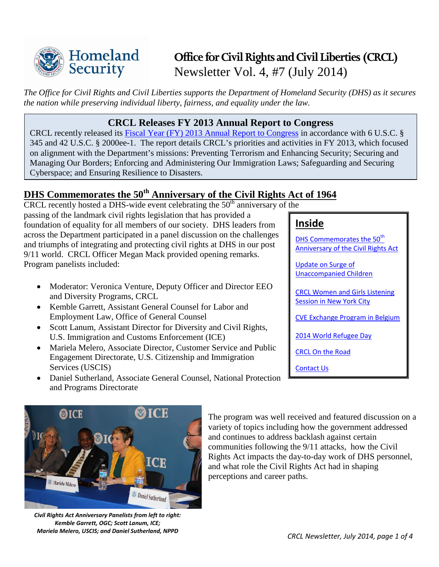

# **Office for Civil Rights and Civil Liberties (CRCL)** Newsletter Vol. 4, #7 (July 2014)

*The Office for Civil Rights and Civil Liberties supports the Department of Homeland Security (DHS) as it secures the nation while preserving individual liberty, fairness, and equality under the law.*

### **CRCL Releases FY 2013 Annual Report to Congress**

CRCL recently released its [Fiscal Year \(FY\) 2013 Annual Report to Congress](http://www.dhs.gov/sites/default/files/publications/crcl-fy-2013-annual-report.pdf) in accordance with 6 U.S.C. § 345 and 42 U.S.C. § 2000ee-1. The report details CRCL's priorities and activities in FY 2013, which focused on alignment with the Department's missions: Preventing Terrorism and Enhancing Security; Securing and Managing Our Borders; Enforcing and Administering Our Immigration Laws; Safeguarding and Securing Cyberspace; and Ensuring Resilience to Disasters.

# <span id="page-0-0"></span>**DHS Commemorates the 50th Anniversary of the Civil Rights Act of 1964**

 $CRCL$  recently hosted a DHS-wide event celebrating the  $50<sup>th</sup>$  anniversary of the passing of the landmark civil rights legislation that has provided a foundation of equality for all members of our society. DHS leaders from across the Department participated in a panel discussion on the challenges and triumphs of integrating and protecting civil rights at DHS in our post 9/11 world. CRCL Officer Megan Mack provided opening remarks. Program panelists included:

- Moderator: Veronica Venture, Deputy Officer and Director EEO and Diversity Programs, CRCL
- Kemble Garrett, Assistant General Counsel for Labor and Employment Law, Office of General Counsel
- Scott Lanum, Assistant Director for Diversity and Civil Rights, U.S. Immigration and Customs Enforcement (ICE)
- Mariela Melero, Associate Director, Customer Service and Public Engagement Directorate, U.S. Citizenship and Immigration Services (USCIS)
- Daniel Sutherland, Associate General Counsel, National Protection and Programs Directorate

# **Inside**

[DHS Commemorates the 50](#page-0-0)<sup>th</sup> [Anniversary of the Civil Rights Act](#page-0-0) 

[Update on Surge](#page-1-0) of [Unaccompanied Children](#page-1-0) 

[CRCL Women and Girls Listening](#page-1-1)  [Session in New York City](#page-1-1)

[CVE Exchange Program in Belgium](#page-2-0)

[2014 World Refugee Day](#page-2-1)

[CRCL On the Road](#page-3-0)

[Contact Us](#page-3-0)



*Civil Rights Act Anniversary Panelists from left to right: Kemble Garrett, OGC; Scott Lanum, ICE; Mariela Melero, USCIS; and Daniel Sutherland, NPPD CRCL Newsletter, July 2014, page 1 of 4*

The program was well received and featured discussion on a variety of topics including how the government addressed and continues to address backlash against certain communities following the 9/11 attacks, how the Civil Rights Act impacts the day-to-day work of DHS personnel, and what role the Civil Rights Act had in shaping perceptions and career paths.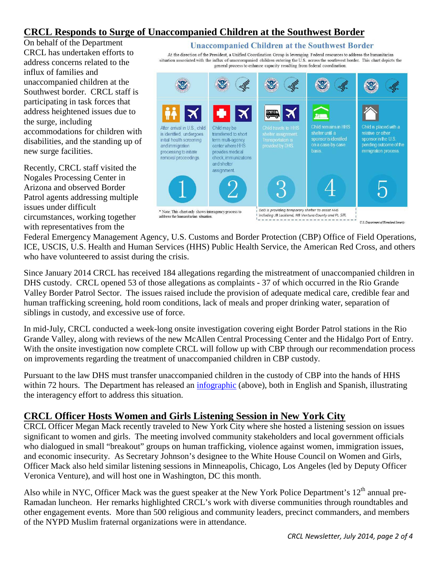# <span id="page-1-0"></span>**CRCL Responds to Surge of Unaccompanied Children at the Southwest Border**

On behalf of the Department CRCL has undertaken efforts to address concerns related to the influx of families and unaccompanied children at the Southwest border. CRCL staff is participating in task forces that address heightened issues due to the surge, including accommodations for children with disabilities, and the standing up of new surge facilities.

Recently, CRCL staff visited the Nogales Processing Center in Arizona and observed Border Patrol agents addressing multiple issues under difficult circumstances, working together with representatives from the

**Unaccompanied Children at the Southwest Border** 

At the direction of the President, a Unified Coordination Group is leveraging Federal resources to address the humanitarian situation associated with the influx of unaccompanied children entering the U.S. across the southwest border. This chart depicts the general process to enhance capacity resulting from federal coordination.



U.S. Department of Homeland Security

Federal Emergency Management Agency, U.S. Customs and Border Protection (CBP) Office of Field Operations, ICE, USCIS, U.S. Health and Human Services (HHS) Public Health Service, the American Red Cross, and others who have volunteered to assist during the crisis.

Since January 2014 CRCL has received 184 allegations regarding the mistreatment of unaccompanied children in DHS custody. CRCL opened 53 of those allegations as complaints - 37 of which occurred in the Rio Grande Valley Border Patrol Sector. The issues raised include the provision of adequate medical care, credible fear and human trafficking screening, hold room conditions, lack of meals and proper drinking water, separation of siblings in custody, and excessive use of force.

In mid-July, CRCL conducted a week-long onsite investigation covering eight Border Patrol stations in the Rio Grande Valley, along with reviews of the new McAllen Central Processing Center and the Hidalgo Port of Entry. With the onsite investigation now complete CRCL will follow up with CBP through our recommendation process on improvements regarding the treatment of unaccompanied children in CBP custody.

Pursuant to the law DHS must transfer unaccompanied children in the custody of CBP into the hands of HHS within 72 hours. The Department has released an [infographic](http://www.dhs.gov/unaccompanied-children-southwest-border) (above), both in English and Spanish, illustrating the interagency effort to address this situation.

### <span id="page-1-1"></span>**CRCL Officer Hosts Women and Girls Listening Session in New York City**

CRCL Officer Megan Mack recently traveled to New York City where she hosted a listening session on issues significant to women and girls. The meeting involved community stakeholders and local government officials who dialogued in small "breakout" groups on human trafficking, violence against women, immigration issues, and economic insecurity. As Secretary Johnson's designee to the White House Council on Women and Girls, Officer Mack also held similar listening sessions in Minneapolis, Chicago, Los Angeles (led by Deputy Officer Veronica Venture), and will host one in Washington, DC this month.

Also while in NYC, Officer Mack was the guest speaker at the New York Police Department's  $12<sup>th</sup>$  annual pre-Ramadan luncheon. Her remarks highlighted CRCL's work with diverse communities through roundtables and other engagement events. More than 500 religious and community leaders, precinct commanders, and members of the NYPD Muslim fraternal organizations were in attendance.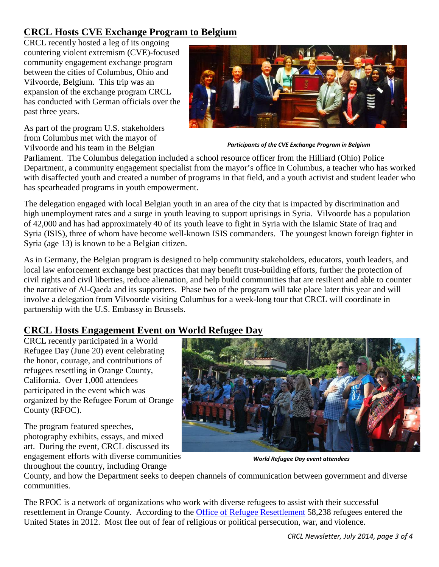# <span id="page-2-0"></span>**CRCL Hosts CVE Exchange Program to Belgium**

CRCL recently hosted a leg of its ongoing countering violent extremism (CVE)-focused community engagement exchange program between the cities of Columbus, Ohio and Vilvoorde, Belgium. This trip was an expansion of the exchange program CRCL has conducted with German officials over the past three years.

As part of the program U.S. stakeholders from Columbus met with the mayor of Vilvoorde and his team in the Belgian



*Participants of the CVE Exchange Program in Belgium*

Parliament. The Columbus delegation included a school resource officer from the Hilliard (Ohio) Police Department, a community engagement specialist from the mayor's office in Columbus, a teacher who has worked with disaffected youth and created a number of programs in that field, and a youth activist and student leader who has spearheaded programs in youth empowerment.

The delegation engaged with local Belgian youth in an area of the city that is impacted by discrimination and high unemployment rates and a surge in youth leaving to support uprisings in Syria. Vilvoorde has a population of 42,000 and has had approximately 40 of its youth leave to fight in Syria with the Islamic State of Iraq and Syria (ISIS), three of whom have become well-known ISIS commanders. The youngest known foreign fighter in Syria (age 13) is known to be a Belgian citizen.

As in Germany, the Belgian program is designed to help community stakeholders, educators, youth leaders, and local law enforcement exchange best practices that may benefit trust-building efforts, further the protection of civil rights and civil liberties, reduce alienation, and help build communities that are resilient and able to counter the narrative of Al-Qaeda and its supporters. Phase two of the program will take place later this year and will involve a delegation from Vilvoorde visiting Columbus for a week-long tour that CRCL will coordinate in partnership with the U.S. Embassy in Brussels.

### <span id="page-2-1"></span>**CRCL Hosts Engagement Event on World Refugee Day**

CRCL recently participated in a World Refugee Day (June 20) event celebrating the honor, courage, and contributions of refugees resettling in Orange County, California. Over 1,000 attendees participated in the event which was organized by the Refugee Forum of Orange County (RFOC).

The program featured speeches, photography exhibits, essays, and mixed art. During the event, CRCL discussed its engagement efforts with diverse communities throughout the country, including Orange



*World Refugee Day event attendees*

County, and how the Department seeks to deepen channels of communication between government and diverse communities.

The RFOC is a network of organizations who work with diverse refugees to assist with their successful resettlement in Orange County. According to the [Office of Refugee Resettlement](http://www.acf.hhs.gov/programs/orr) 58,238 refugees entered the United States in 2012. Most flee out of fear of religious or political persecution, war, and violence.